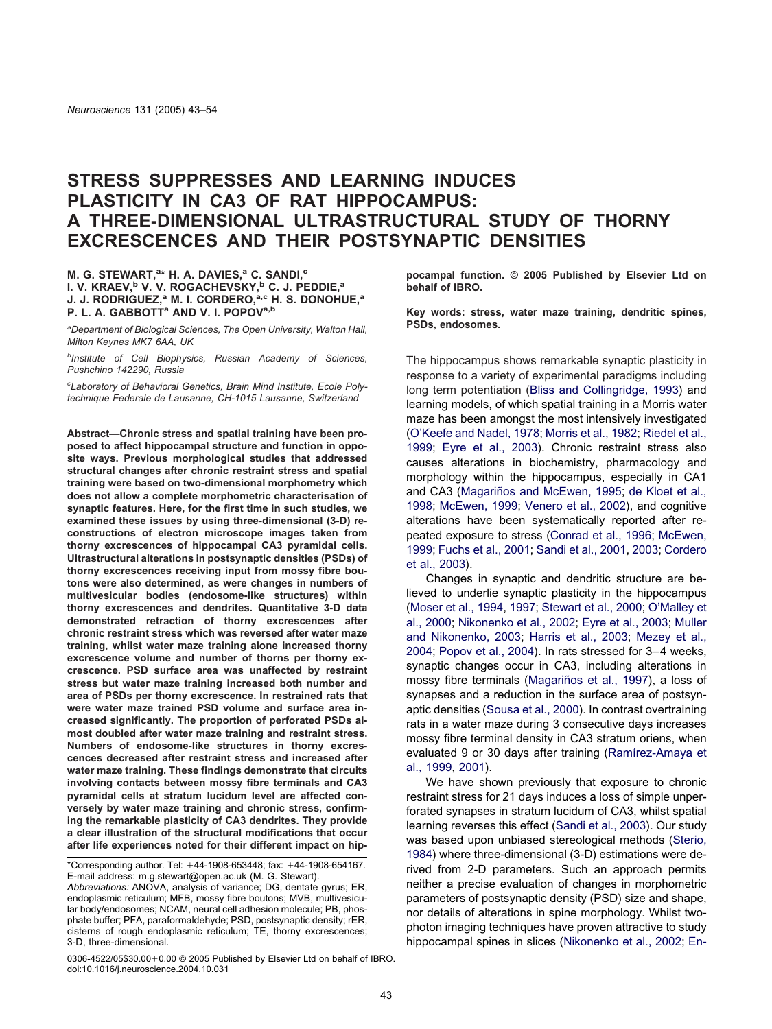# **STRESS SUPPRESSES AND LEARNING INDUCES PLASTICITY IN CA3 OF RAT HIPPOCAMPUS: A THREE-DIMENSIONAL ULTRASTRUCTURAL STUDY OF THORNY EXCRESCENCES AND THEIR POSTSYNAPTIC DENSITIES**

#### **M. G. STEWART,a \* H. A. DAVIES,a C. SANDI,c I. V. KRAEV,b V. V. ROGACHEVSKY,b C. J. PEDDIE,a J. J. RODRIGUEZ,a M. I. CORDERO,a,c H. S. DONOHUE,a** P. L. A. GABBOTT<sup>a</sup> AND V. I. POPOV<sup>a,b</sup>

*a Department of Biological Sciences, The Open University, Walton Hall, Milton Keynes MK7 6AA, UK*

*b Institute of Cell Biophysics, Russian Academy of Sciences, Pushchino 142290, Russia*

*c Laboratory of Behavioral Genetics, Brain Mind Institute, Ecole Polytechnique Federale de Lausanne, CH-1015 Lausanne, Switzerland*

**Abstract—Chronic stress and spatial training have been proposed to affect hippocampal structure and function in opposite ways. Previous morphological studies that addressed structural changes after chronic restraint stress and spatial training were based on two-dimensional morphometry which does not allow a complete morphometric characterisation of synaptic features. Here, for the first time in such studies, we examined these issues by using three-dimensional (3-D) reconstructions of electron microscope images taken from thorny excrescences of hippocampal CA3 pyramidal cells. Ultrastructural alterations in postsynaptic densities (PSDs) of thorny excrescences receiving input from mossy fibre boutons were also determined, as were changes in numbers of multivesicular bodies (endosome-like structures) within thorny excrescences and dendrites. Quantitative 3-D data demonstrated retraction of thorny excrescences after chronic restraint stress which was reversed after water maze training, whilst water maze training alone increased thorny excrescence volume and number of thorns per thorny excrescence. PSD surface area was unaffected by restraint stress but water maze training increased both number and area of PSDs per thorny excrescence. In restrained rats that were water maze trained PSD volume and surface area increased significantly. The proportion of perforated PSDs almost doubled after water maze training and restraint stress. Numbers of endosome-like structures in thorny excrescences decreased after restraint stress and increased after water maze training. These findings demonstrate that circuits involving contacts between mossy fibre terminals and CA3 pyramidal cells at stratum lucidum level are affected conversely by water maze training and chronic stress, confirming the remarkable plasticity of CA3 dendrites. They provide a clear illustration of the structural modifications that occur after life experiences noted for their different impact on hip-**

\*Corresponding author. Tel: 44-1908-653448; fax: 44-1908-654167. E-mail address: m.g.stewart@open.ac.uk (M. G. Stewart).

*Abbreviations:* ANOVA, analysis of variance; DG, dentate gyrus; ER, endoplasmic reticulum; MFB, mossy fibre boutons; MVB, multivesicular body/endosomes; NCAM, neural cell adhesion molecule; PB, phosphate buffer; PFA, paraformaldehyde; PSD, postsynaptic density; rER, cisterns of rough endoplasmic reticulum; TE, thorny excrescences; 3-D, three-dimensional.

 $0306-4522/05$30.00+0.00  $\odot$  2005 Publishing below Elsevier Ltd on behalf of IBRO.$ doi:10.1016/j.neuroscience.2004.10.031

**pocampal function. © 2005 Published by Elsevier Ltd on behalf of IBRO.**

**Key words: stress, water maze training, dendritic spines, PSDs, endosomes.**

The hippocampus shows remarkable synaptic plasticity in response to a variety of experimental paradigms including long term potentiation [\(Bliss and Collingridge, 1993\)](#page-9-0) and learning models, of which spatial training in a Morris water maze has been amongst the most intensively investigated [\(O'Keefe and Nadel, 1978;](#page-10-0) [Morris et al., 1982;](#page-10-0) [Riedel et al.,](#page-10-0) [1999;](#page-10-0) [Eyre et al., 2003\)](#page-9-0). Chronic restraint stress also causes alterations in biochemistry, pharmacology and morphology within the hippocampus, especially in CA1 and CA3 [\(Magariños and McEwen, 1995;](#page-10-0) [de Kloet et al.,](#page-9-0) [1998;](#page-9-0) [McEwen, 1999;](#page-10-0) [Venero et al., 2002\)](#page-11-0), and cognitive alterations have been systematically reported after repeated exposure to stress [\(Conrad et al., 1996;](#page-9-0) [McEwen,](#page-10-0) [1999;](#page-10-0) [Fuchs et al., 2001;](#page-9-0) [Sandi et al., 2001,](#page-10-0) [2003;](#page-11-0) [Cordero](#page-9-0) [et al., 2003\)](#page-9-0).

Changes in synaptic and dendritic structure are believed to underlie synaptic plasticity in the hippocampus [\(Moser et al., 1994,](#page-10-0) [1997;](#page-10-0) [Stewart et al., 2000;](#page-11-0) [O'Malley et](#page-10-0) [al., 2000;](#page-10-0) [Nikonenko et al., 2002;](#page-10-0) [Eyre et al., 2003;](#page-9-0) [Muller](#page-10-0) [and Nikonenko, 2003;](#page-10-0) [Harris et al., 2003;](#page-10-0) [Mezey et al.,](#page-10-0) [2004;](#page-10-0) [Popov et al., 2004\)](#page-10-0). In rats stressed for 3-4 weeks, synaptic changes occur in CA3, including alterations in mossy fibre terminals [\(Magariños et al., 1997\)](#page-10-0), a loss of synapses and a reduction in the surface area of postsynaptic densities [\(Sousa et al., 2000\)](#page-11-0). In contrast overtraining rats in a water maze during 3 consecutive days increases mossy fibre terminal density in CA3 stratum oriens, when evaluated 9 or 30 days after training [\(Ramírez-Amaya et](#page-10-0) [al., 1999,](#page-10-0) [2001\)](#page-10-0).

We have shown previously that exposure to chronic restraint stress for 21 days induces a loss of simple unperforated synapses in stratum lucidum of CA3, whilst spatial learning reverses this effect [\(Sandi et al., 2003\)](#page-11-0). Our study was based upon unbiased stereological methods [\(Sterio,](#page-11-0) [1984\)](#page-11-0) where three-dimensional (3-D) estimations were derived from 2-D parameters. Such an approach permits neither a precise evaluation of changes in morphometric parameters of postsynaptic density (PSD) size and shape, nor details of alterations in spine morphology. Whilst twophoton imaging techniques have proven attractive to study hippocampal spines in slices [\(Nikonenko et al., 2002;](#page-10-0) En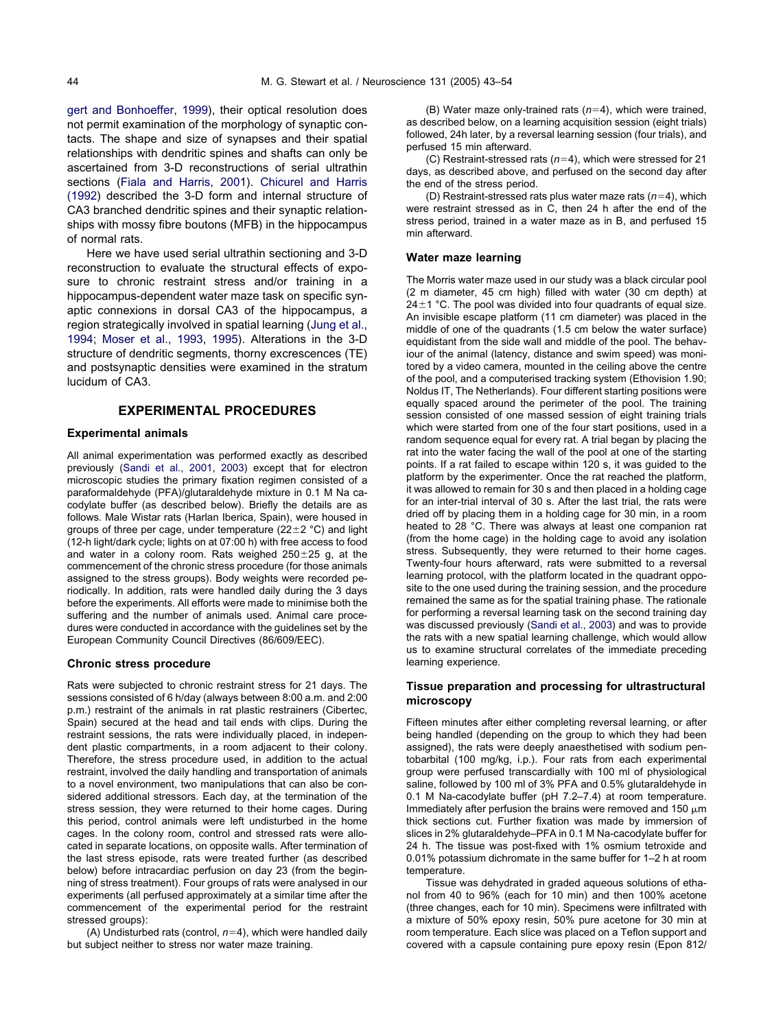[gert and Bonhoeffer, 1999\)](#page-9-0), their optical resolution does not permit examination of the morphology of synaptic contacts. The shape and size of synapses and their spatial relationships with dendritic spines and shafts can only be ascertained from 3-D reconstructions of serial ultrathin sections [\(Fiala and Harris, 2001\)](#page-9-0). [Chicurel and Harris](#page-9-0) [\(1992\)](#page-9-0) described the 3-D form and internal structure of CA3 branched dendritic spines and their synaptic relationships with mossy fibre boutons (MFB) in the hippocampus of normal rats.

Here we have used serial ultrathin sectioning and 3-D reconstruction to evaluate the structural effects of exposure to chronic restraint stress and/or training in a hippocampus-dependent water maze task on specific synaptic connexions in dorsal CA3 of the hippocampus, a region strategically involved in spatial learning [\(Jung et al.,](#page-10-0) [1994;](#page-10-0) [Moser et al., 1993,](#page-10-0) [1995\)](#page-10-0). Alterations in the 3-D structure of dendritic segments, thorny excrescences (TE) and postsynaptic densities were examined in the stratum lucidum of CA3.

# **EXPERIMENTAL PROCEDURES**

#### **Experimental animals**

All animal experimentation was performed exactly as described previously [\(Sandi et al., 2001,](#page-10-0) [2003\)](#page-11-0) except that for electron microscopic studies the primary fixation regimen consisted of a paraformaldehyde (PFA)/glutaraldehyde mixture in 0.1 M Na cacodylate buffer (as described below). Briefly the details are as follows. Male Wistar rats (Harlan Iberica, Spain), were housed in groups of three per cage, under temperature (22 $\pm$ 2 °C) and light (12-h light/dark cycle; lights on at 07:00 h) with free access to food and water in a colony room. Rats weighed  $250\pm25$  g, at the commencement of the chronic stress procedure (for those animals assigned to the stress groups). Body weights were recorded periodically. In addition, rats were handled daily during the 3 days before the experiments. All efforts were made to minimise both the suffering and the number of animals used. Animal care procedures were conducted in accordance with the guidelines set by the European Community Council Directives (86/609/EEC).

#### **Chronic stress procedure**

Rats were subjected to chronic restraint stress for 21 days. The sessions consisted of 6 h/day (always between 8:00 a.m. and 2:00 p.m.) restraint of the animals in rat plastic restrainers (Cibertec, Spain) secured at the head and tail ends with clips. During the restraint sessions, the rats were individually placed, in independent plastic compartments, in a room adjacent to their colony. Therefore, the stress procedure used, in addition to the actual restraint, involved the daily handling and transportation of animals to a novel environment, two manipulations that can also be considered additional stressors. Each day, at the termination of the stress session, they were returned to their home cages. During this period, control animals were left undisturbed in the home cages. In the colony room, control and stressed rats were allocated in separate locations, on opposite walls. After termination of the last stress episode, rats were treated further (as described below) before intracardiac perfusion on day 23 (from the beginning of stress treatment). Four groups of rats were analysed in our experiments (all perfused approximately at a similar time after the commencement of the experimental period for the restraint stressed groups):

(A) Undisturbed rats (control,  $n=4$ ), which were handled daily but subject neither to stress nor water maze training.

(B) Water maze only-trained rats  $(n=4)$ , which were trained, as described below, on a learning acquisition session (eight trials) followed, 24h later, by a reversal learning session (four trials), and perfused 15 min afterward.

(C) Restraint-stressed rats  $(n=4)$ , which were stressed for 21 days, as described above, and perfused on the second day after the end of the stress period.

(D) Restraint-stressed rats plus water maze rats  $(n=4)$ , which were restraint stressed as in C, then 24 h after the end of the stress period, trained in a water maze as in B, and perfused 15 min afterward.

#### **Water maze learning**

The Morris water maze used in our study was a black circular pool (2 m diameter, 45 cm high) filled with water (30 cm depth) at  $24\pm$ 1 °C. The pool was divided into four quadrants of equal size. An invisible escape platform (11 cm diameter) was placed in the middle of one of the quadrants (1.5 cm below the water surface) equidistant from the side wall and middle of the pool. The behaviour of the animal (latency, distance and swim speed) was monitored by a video camera, mounted in the ceiling above the centre of the pool, and a computerised tracking system (Ethovision 1.90; Noldus IT, The Netherlands). Four different starting positions were equally spaced around the perimeter of the pool. The training session consisted of one massed session of eight training trials which were started from one of the four start positions, used in a random sequence equal for every rat. A trial began by placing the rat into the water facing the wall of the pool at one of the starting points. If a rat failed to escape within 120 s, it was guided to the platform by the experimenter. Once the rat reached the platform, it was allowed to remain for 30 s and then placed in a holding cage for an inter-trial interval of 30 s. After the last trial, the rats were dried off by placing them in a holding cage for 30 min, in a room heated to 28 °C. There was always at least one companion rat (from the home cage) in the holding cage to avoid any isolation stress. Subsequently, they were returned to their home cages. Twenty-four hours afterward, rats were submitted to a reversal learning protocol, with the platform located in the quadrant opposite to the one used during the training session, and the procedure remained the same as for the spatial training phase. The rationale for performing a reversal learning task on the second training day was discussed previously [\(Sandi et al., 2003\)](#page-11-0) and was to provide the rats with a new spatial learning challenge, which would allow us to examine structural correlates of the immediate preceding learning experience.

# **Tissue preparation and processing for ultrastructural microscopy**

Fifteen minutes after either completing reversal learning, or after being handled (depending on the group to which they had been assigned), the rats were deeply anaesthetised with sodium pentobarbital (100 mg/kg, i.p.). Four rats from each experimental group were perfused transcardially with 100 ml of physiological saline, followed by 100 ml of 3% PFA and 0.5% glutaraldehyde in 0.1 M Na-cacodylate buffer (pH 7.2–7.4) at room temperature. Immediately after perfusion the brains were removed and 150  $\mu$ m thick sections cut. Further fixation was made by immersion of slices in 2% glutaraldehyde–PFA in 0.1 M Na-cacodylate buffer for 24 h. The tissue was post-fixed with 1% osmium tetroxide and 0.01% potassium dichromate in the same buffer for 1–2 h at room temperature.

Tissue was dehydrated in graded aqueous solutions of ethanol from 40 to 96% (each for 10 min) and then 100% acetone (three changes, each for 10 min). Specimens were infiltrated with a mixture of 50% epoxy resin, 50% pure acetone for 30 min at room temperature. Each slice was placed on a Teflon support and covered with a capsule containing pure epoxy resin (Epon 812/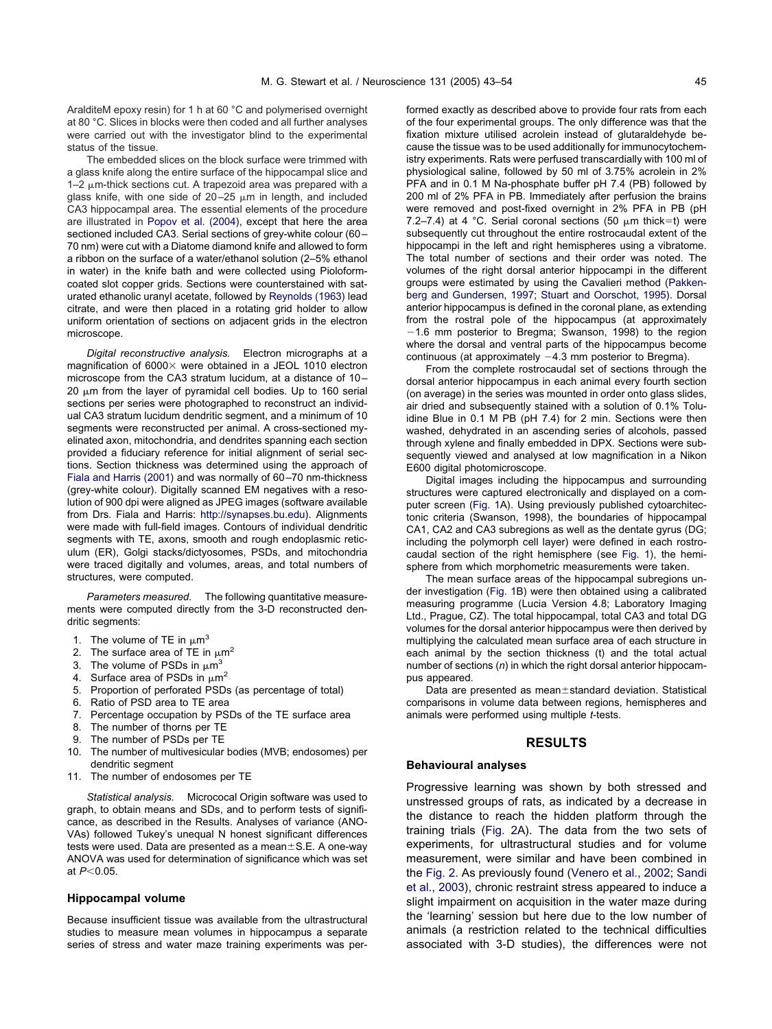AralditeM epoxy resin) for 1 h at 60 °C and polymerised overnight at 80 °C. Slices in blocks were then coded and all further analyses were carried out with the investigator blind to the experimental status of the tissue.

The embedded slices on the block surface were trimmed with a glass knife along the entire surface of the hippocampal slice and  $1-2$   $\mu$ m-thick sections cut. A trapezoid area was prepared with a glass knife, with one side of  $20-25 \mu m$  in length, and included CA3 hippocampal area. The essential elements of the procedure are illustrated in [Popov et al. \(2004\)](#page-10-0), except that here the area sectioned included CA3. Serial sections of grey-white colour (60 – 70 nm) were cut with a Diatome diamond knife and allowed to form a ribbon on the surface of a water/ethanol solution (2–5% ethanol in water) in the knife bath and were collected using Pioloformcoated slot copper grids. Sections were counterstained with saturated ethanolic uranyl acetate, followed by [Reynolds \(1963\)](#page-10-0) lead citrate, and were then placed in a rotating grid holder to allow uniform orientation of sections on adjacent grids in the electron microscope.

*Digital reconstructive analysis.* Electron micrographs at a magnification of  $6000 \times$  were obtained in a JEOL 1010 electron microscope from the CA3 stratum lucidum, at a distance of 10 –  $20 \mu m$  from the layer of pyramidal cell bodies. Up to 160 serial sections per series were photographed to reconstruct an individual CA3 stratum lucidum dendritic segment, and a minimum of 10 segments were reconstructed per animal. A cross-sectioned myelinated axon, mitochondria, and dendrites spanning each section provided a fiduciary reference for initial alignment of serial sections. Section thickness was determined using the approach of [Fiala and Harris \(2001\)](#page-9-0) and was normally of 60 –70 nm-thickness (grey-white colour). Digitally scanned EM negatives with a resolution of 900 dpi were aligned as JPEG images (software available from Drs. Fiala and Harris: [http://synapses.bu.edu\)](http://synapses.bu.edu). Alignments were made with full-field images. Contours of individual dendritic segments with TE, axons, smooth and rough endoplasmic reticulum (ER), Golgi stacks/dictyosomes, PSDs, and mitochondria were traced digitally and volumes, areas, and total numbers of structures, were computed.

*Parameters measured.* The following quantitative measurements were computed directly from the 3-D reconstructed dendritic segments:

- 1. The volume of TE in  $\mu$ m<sup>3</sup>
- 2. The surface area of TE in  $\mu$ m<sup>2</sup>
- 3. The volume of PSDs in  $\mu$ m<sup>3</sup>
- 4. Surface area of PSDs in  $\mu$ m<sup>2</sup>
- 5. Proportion of perforated PSDs (as percentage of total)
- 6. Ratio of PSD area to TE area
- 7. Percentage occupation by PSDs of the TE surface area
- 8. The number of thorns per TE
- 9. The number of PSDs per TE
- 10. The number of multivesicular bodies (MVB; endosomes) per dendritic segment
- 11. The number of endosomes per TE

*Statistical analysis.* Micrococal Origin software was used to graph, to obtain means and SDs, and to perform tests of significance, as described in the Results. Analyses of variance (ANO-VAs) followed Tukey's unequal N honest significant differences tests were used. Data are presented as a mean $\pm$ S.E. A one-way ANOVA was used for determination of significance which was set at  $P<0.05$ .

#### **Hippocampal volume**

Because insufficient tissue was available from the ultrastructural studies to measure mean volumes in hippocampus a separate series of stress and water maze training experiments was performed exactly as described above to provide four rats from each of the four experimental groups. The only difference was that the fixation mixture utilised acrolein instead of glutaraldehyde because the tissue was to be used additionally for immunocytochemistry experiments. Rats were perfused transcardially with 100 ml of physiological saline, followed by 50 ml of 3.75% acrolein in 2% PFA and in 0.1 M Na-phosphate buffer pH 7.4 (PB) followed by 200 ml of 2% PFA in PB. Immediately after perfusion the brains were removed and post-fixed overnight in 2% PFA in PB (pH 7.2–7.4) at 4 °C. Serial coronal sections (50  $\mu$ m thick=t) were subsequently cut throughout the entire rostrocaudal extent of the hippocampi in the left and right hemispheres using a vibratome. The total number of sections and their order was noted. The volumes of the right dorsal anterior hippocampi in the different groups were estimated by using the Cavalieri method [\(Pakken](#page-10-0)[berg and Gundersen, 1997;](#page-10-0) [Stuart and Oorschot, 1995\)](#page-11-0). Dorsal anterior hippocampus is defined in the coronal plane, as extending from the rostral pole of the hippocampus (at approximately  $-1.6$  mm posterior to Bregma; Swanson, 1998) to the region where the dorsal and ventral parts of the hippocampus become continuous (at approximately  $-4.3$  mm posterior to Bregma).

From the complete rostrocaudal set of sections through the dorsal anterior hippocampus in each animal every fourth section (on average) in the series was mounted in order onto glass slides, air dried and subsequently stained with a solution of 0.1% Toluidine Blue in 0.1 M PB (pH 7.4) for 2 min. Sections were then washed, dehydrated in an ascending series of alcohols, passed through xylene and finally embedded in DPX. Sections were subsequently viewed and analysed at low magnification in a Nikon E600 digital photomicroscope.

Digital images including the hippocampus and surrounding structures were captured electronically and displayed on a computer screen [\(Fig. 1A](#page-3-0)). Using previously published cytoarchitectonic criteria (Swanson, 1998), the boundaries of hippocampal CA1, CA2 and CA3 subregions as well as the dentate gyrus (DG; including the polymorph cell layer) were defined in each rostrocaudal section of the right hemisphere (see [Fig. 1\)](#page-3-0), the hemisphere from which morphometric measurements were taken.

The mean surface areas of the hippocampal subregions under investigation [\(Fig. 1B](#page-3-0)) were then obtained using a calibrated measuring programme (Lucia Version 4.8; Laboratory Imaging Ltd., Prague, CZ). The total hippocampal, total CA3 and total DG volumes for the dorsal anterior hippocampus were then derived by multiplying the calculated mean surface area of each structure in each animal by the section thickness (t) and the total actual number of sections (*n*) in which the right dorsal anterior hippocampus appeared.

Data are presented as mean±standard deviation. Statistical comparisons in volume data between regions, hemispheres and animals were performed using multiple *t*-tests.

# **RESULTS**

#### **Behavioural analyses**

Progressive learning was shown by both stressed and unstressed groups of rats, as indicated by a decrease in the distance to reach the hidden platform through the training trials [\(Fig. 2A](#page-3-0)). The data from the two sets of experiments, for ultrastructural studies and for volume measurement, were similar and have been combined in the [Fig. 2.](#page-3-0) As previously found [\(Venero et al., 2002;](#page-11-0) [Sandi](#page-11-0) [et al., 2003\)](#page-11-0), chronic restraint stress appeared to induce a slight impairment on acquisition in the water maze during the 'learning' session but here due to the low number of animals (a restriction related to the technical difficulties associated with 3-D studies), the differences were not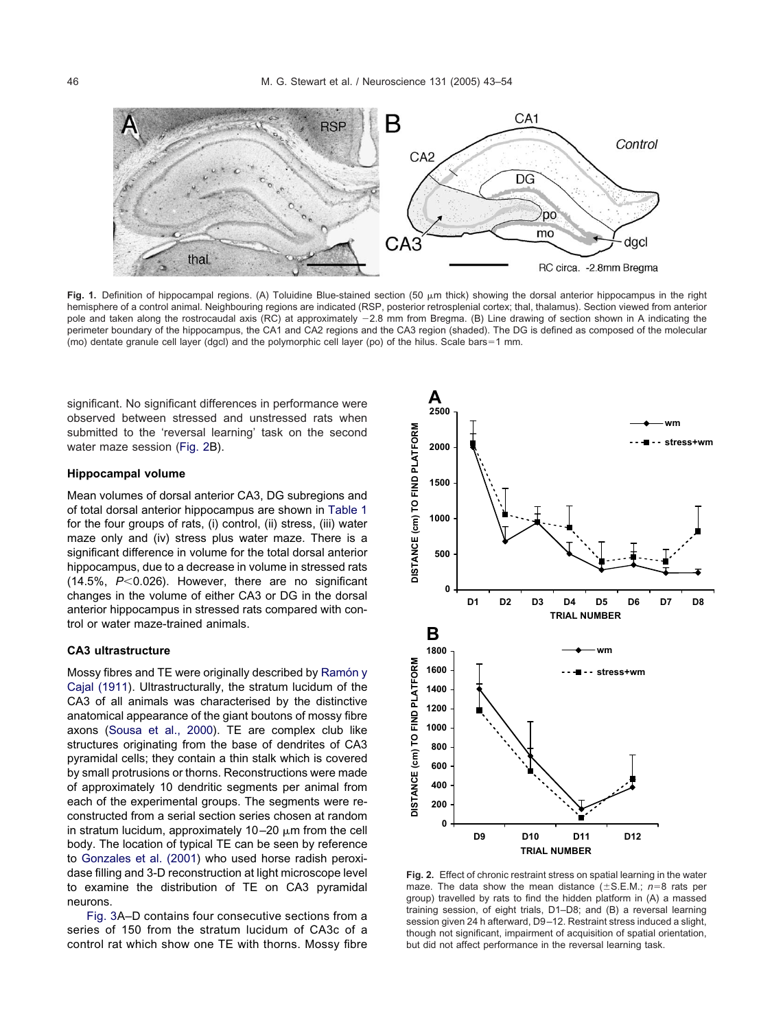<span id="page-3-0"></span>

Fig. 1. Definition of hippocampal regions. (A) Toluidine Blue-stained section (50  $\mu$ m thick) showing the dorsal anterior hippocampus in the right hemisphere of a control animal. Neighbouring regions are indicated (RSP, posterior retrosplenial cortex; thal, thalamus). Section viewed from anterior pole and taken along the rostrocaudal axis (RC) at approximately -2.8 mm from Bregma. (B) Line drawing of section shown in A indicating the perimeter boundary of the hippocampus, the CA1 and CA2 regions and the CA3 region (shaded). The DG is defined as composed of the molecular (mo) dentate granule cell layer (dgcl) and the polymorphic cell layer (po) of the hilus. Scale bars=1 mm.

significant. No significant differences in performance were observed between stressed and unstressed rats when submitted to the 'reversal learning' task on the second water maze session (Fig. 2B).

## **Hippocampal volume**

Mean volumes of dorsal anterior CA3, DG subregions and of total dorsal anterior hippocampus are shown in [Table 1](#page-4-0) for the four groups of rats, (i) control, (ii) stress, (iii) water maze only and (iv) stress plus water maze. There is a significant difference in volume for the total dorsal anterior hippocampus, due to a decrease in volume in stressed rats  $(14.5\%, P<0.026)$ . However, there are no significant changes in the volume of either CA3 or DG in the dorsal anterior hippocampus in stressed rats compared with control or water maze-trained animals.

#### **CA3 ultrastructure**

Mossy fibres and TE were originally described by [Ramón y](#page-10-0) [Cajal \(1911\)](#page-10-0). Ultrastructurally, the stratum lucidum of the CA3 of all animals was characterised by the distinctive anatomical appearance of the giant boutons of mossy fibre axons [\(Sousa et al., 2000\)](#page-11-0). TE are complex club like structures originating from the base of dendrites of CA3 pyramidal cells; they contain a thin stalk which is covered by small protrusions or thorns. Reconstructions were made of approximately 10 dendritic segments per animal from each of the experimental groups. The segments were reconstructed from a serial section series chosen at random in stratum lucidum, approximately  $10-20 \mu m$  from the cell body. The location of typical TE can be seen by reference to [Gonzales et al. \(2001\)](#page-9-0) who used horse radish peroxidase filling and 3-D reconstruction at light microscope level to examine the distribution of TE on CA3 pyramidal neurons.

[Fig. 3A](#page-4-0)–D contains four consecutive sections from a series of 150 from the stratum lucidum of CA3c of a control rat which show one TE with thorns. Mossy fibre



**Fig. 2.** Effect of chronic restraint stress on spatial learning in the water maze. The data show the mean distance (±S.E.M.; *n*=8 rats per group) travelled by rats to find the hidden platform in (A) a massed training session, of eight trials, D1–D8; and (B) a reversal learning session given 24 h afterward, D9-12. Restraint stress induced a slight, though not significant, impairment of acquisition of spatial orientation, but did not affect performance in the reversal learning task.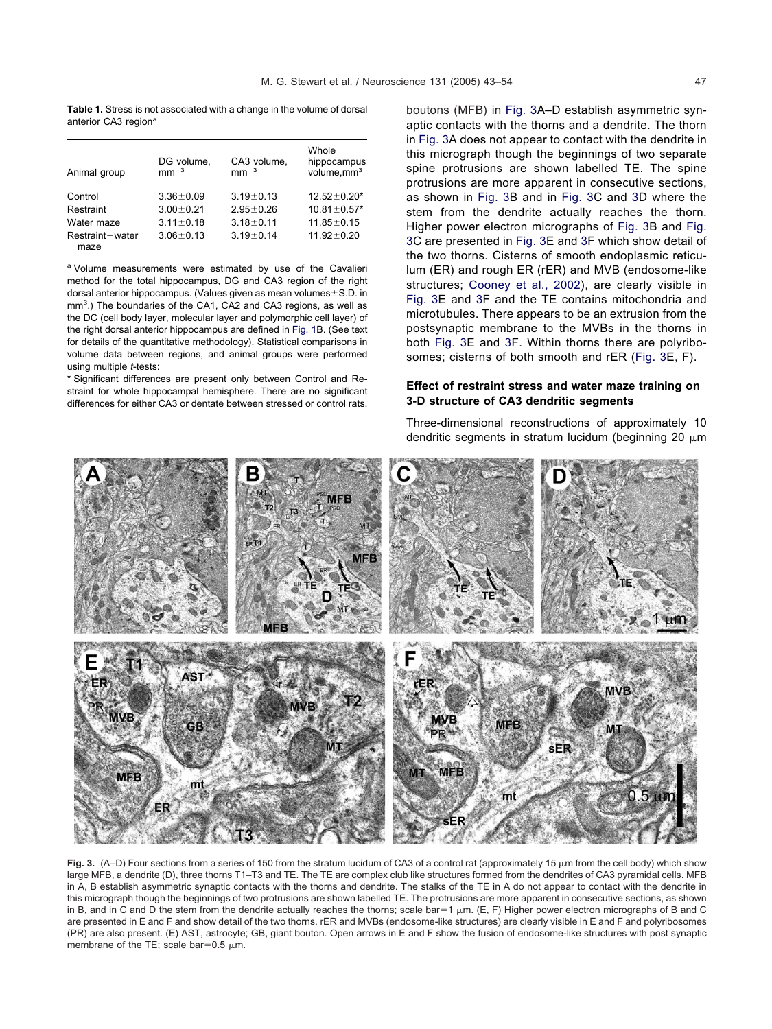<span id="page-4-0"></span>**Table 1.** Stress is not associated with a change in the volume of dorsal anterior CA3 region<sup>a</sup>

| Animal group             | DG volume,<br>mm <sup>3</sup> | CA3 volume,<br>mm <sup>3</sup> | Whole<br>hippocampus<br>volume, mm <sup>3</sup> |
|--------------------------|-------------------------------|--------------------------------|-------------------------------------------------|
| Control                  | $3.36 \pm 0.09$               | $3.19 \pm 0.13$                | $12.52 \pm 0.20^*$                              |
| Restraint                | $3.00 \pm 0.21$               | $2.95 \pm 0.26$                | $10.81 \pm 0.57$ *                              |
| Water maze               | $3.11 \pm 0.18$               | $3.18 \pm 0.11$                | $11.85 \pm 0.15$                                |
| $Restrain+water$<br>maze | $3.06 \pm 0.13$               | $3.19 \pm 0.14$                | $11.92 \pm 0.20$                                |

<sup>a</sup> Volume measurements were estimated by use of the Cavalieri method for the total hippocampus, DG and CA3 region of the right dorsal anterior hippocampus. (Values given as mean volumes $\pm$ S.D. in mm<sup>3</sup>.) The boundaries of the CA1, CA2 and CA3 regions, as well as the DC (cell body layer, molecular layer and polymorphic cell layer) of the right dorsal anterior hippocampus are defined in [Fig. 1B](#page-3-0). (See text for details of the quantitative methodology). Statistical comparisons in volume data between regions, and animal groups were performed using multiple *t*-tests:

\* Significant differences are present only between Control and Restraint for whole hippocampal hemisphere. There are no significant differences for either CA3 or dentate between stressed or control rats.

boutons (MFB) in Fig. 3A–D establish asymmetric synaptic contacts with the thorns and a dendrite. The thorn in Fig. 3A does not appear to contact with the dendrite in this micrograph though the beginnings of two separate spine protrusions are shown labelled TE. The spine protrusions are more apparent in consecutive sections, as shown in Fig. 3B and in Fig. 3C and 3D where the stem from the dendrite actually reaches the thorn. Higher power electron micrographs of Fig. 3B and Fig. 3C are presented in Fig. 3E and 3F which show detail of the two thorns. Cisterns of smooth endoplasmic reticulum (ER) and rough ER (rER) and MVB (endosome-like structures; [Cooney et al., 2002\)](#page-9-0), are clearly visible in Fig. 3E and 3F and the TE contains mitochondria and microtubules. There appears to be an extrusion from the postsynaptic membrane to the MVBs in the thorns in both Fig. 3E and 3F. Within thorns there are polyribosomes; cisterns of both smooth and rER (Fig. 3E, F).

# **Effect of restraint stress and water maze training on 3-D structure of CA3 dendritic segments**

Three-dimensional reconstructions of approximately 10 dendritic segments in stratum lucidum (beginning 20  $\mu$ m



Fig. 3. (A–D) Four sections from a series of 150 from the stratum lucidum of CA3 of a control rat (approximately 15  $\mu$ m from the cell body) which show large MFB, a dendrite (D), three thorns T1–T3 and TE. The TE are complex club like structures formed from the dendrites of CA3 pyramidal cells. MFB in A, B establish asymmetric synaptic contacts with the thorns and dendrite. The stalks of the TE in A do not appear to contact with the dendrite in this micrograph though the beginnings of two protrusions are shown labelled TE. The protrusions are more apparent in consecutive sections, as shown in B, and in C and D the stem from the dendrite actually reaches the thorns; scale  $bar=1 \mu m$ . (E, F) Higher power electron micrographs of B and C are presented in E and F and show detail of the two thorns. rER and MVBs (endosome-like structures) are clearly visible in E and F and polyribosomes (PR) are also present. (E) AST, astrocyte; GB, giant bouton. Open arrows in E and F show the fusion of endosome-like structures with post synaptic membrane of the TE; scale bar=0.5  $\mu$ m.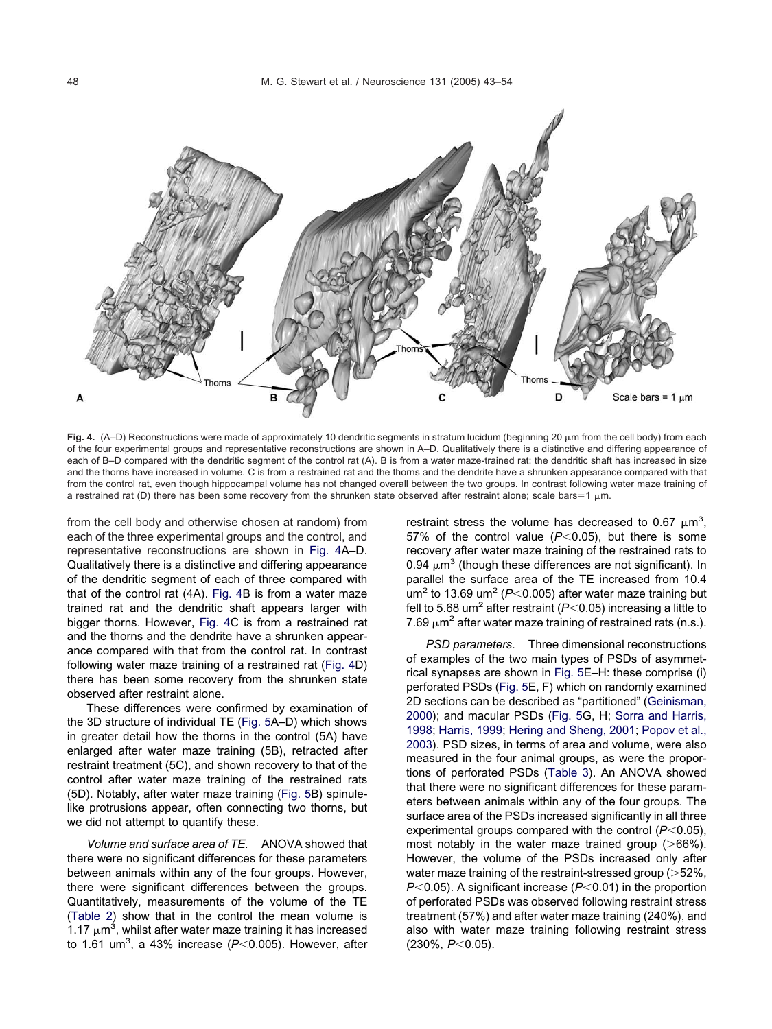<span id="page-5-0"></span>

Fig. 4. (A–D) Reconstructions were made of approximately 10 dendritic segments in stratum lucidum (beginning 20  $\mu$ m from the cell body) from each of the four experimental groups and representative reconstructions are shown in A–D. Qualitatively there is a distinctive and differing appearance of each of B–D compared with the dendritic segment of the control rat (A). B is from a water maze-trained rat: the dendritic shaft has increased in size and the thorns have increased in volume. C is from a restrained rat and the thorns and the dendrite have a shrunken appearance compared with that from the control rat, even though hippocampal volume has not changed overall between the two groups. In contrast following water maze training of a restrained rat (D) there has been some recovery from the shrunken state observed after restraint alone; scale bars=1  $\mu$ m.

from the cell body and otherwise chosen at random) from each of the three experimental groups and the control, and representative reconstructions are shown in Fig. 4A–D. Qualitatively there is a distinctive and differing appearance of the dendritic segment of each of three compared with that of the control rat (4A). Fig. 4B is from a water maze trained rat and the dendritic shaft appears larger with bigger thorns. However, Fig. 4C is from a restrained rat and the thorns and the dendrite have a shrunken appearance compared with that from the control rat. In contrast following water maze training of a restrained rat (Fig. 4D) there has been some recovery from the shrunken state observed after restraint alone.

These differences were confirmed by examination of the 3D structure of individual TE [\(Fig. 5A](#page-6-0)–D) which shows in greater detail how the thorns in the control (5A) have enlarged after water maze training (5B), retracted after restraint treatment (5C), and shown recovery to that of the control after water maze training of the restrained rats (5D). Notably, after water maze training [\(Fig. 5B](#page-6-0)) spinulelike protrusions appear, often connecting two thorns, but we did not attempt to quantify these.

*Volume and surface area of TE.* ANOVA showed that there were no significant differences for these parameters between animals within any of the four groups. However, there were significant differences between the groups. Quantitatively, measurements of the volume of the TE [\(Table 2\)](#page-6-0) show that in the control the mean volume is 1.17  $\mu$ m<sup>3</sup>, whilst after water maze training it has increased to 1.61 um<sup>3</sup>, a 43% increase (P<0.005). However, after

restraint stress the volume has decreased to 0.67  $\mu$ m<sup>3</sup>, 57% of the control value  $(P<0.05)$ , but there is some recovery after water maze training of the restrained rats to 0.94  $\mu$ m<sup>3</sup> (though these differences are not significant). In parallel the surface area of the TE increased from 10.4 um<sup>2</sup> to 13.69 um<sup>2</sup> ( $P<$ 0.005) after water maze training but fell to 5.68 um<sup>2</sup> after restraint ( $P<$ 0.05) increasing a little to 7.69  $\mu$ m<sup>2</sup> after water maze training of restrained rats (n.s.).

*PSD parameters.* Three dimensional reconstructions of examples of the two main types of PSDs of asymmetrical synapses are shown in [Fig. 5E](#page-6-0)–H: these comprise (i) perforated PSDs [\(Fig. 5E](#page-6-0), F) which on randomly examined 2D sections can be described as "partitioned" [\(Geinisman,](#page-9-0) [2000\)](#page-9-0); and macular PSDs [\(Fig. 5G](#page-6-0), H; [Sorra and Harris,](#page-11-0) [1998;](#page-11-0) [Harris, 1999;](#page-10-0) [Hering and Sheng, 2001;](#page-10-0) [Popov et al.,](#page-10-0) [2003\)](#page-10-0). PSD sizes, in terms of area and volume, were also measured in the four animal groups, as were the proportions of perforated PSDs [\(Table 3\)](#page-7-0). An ANOVA showed that there were no significant differences for these parameters between animals within any of the four groups. The surface area of the PSDs increased significantly in all three experimental groups compared with the control  $(P<0.05)$ , most notably in the water maze trained group  $(>\,66\%)$ . However, the volume of the PSDs increased only after water maze training of the restraint-stressed group (>52%,  $P<0.05$ ). A significant increase ( $P<0.01$ ) in the proportion of perforated PSDs was observed following restraint stress treatment (57%) and after water maze training (240%), and also with water maze training following restraint stress (230%, P<0.05).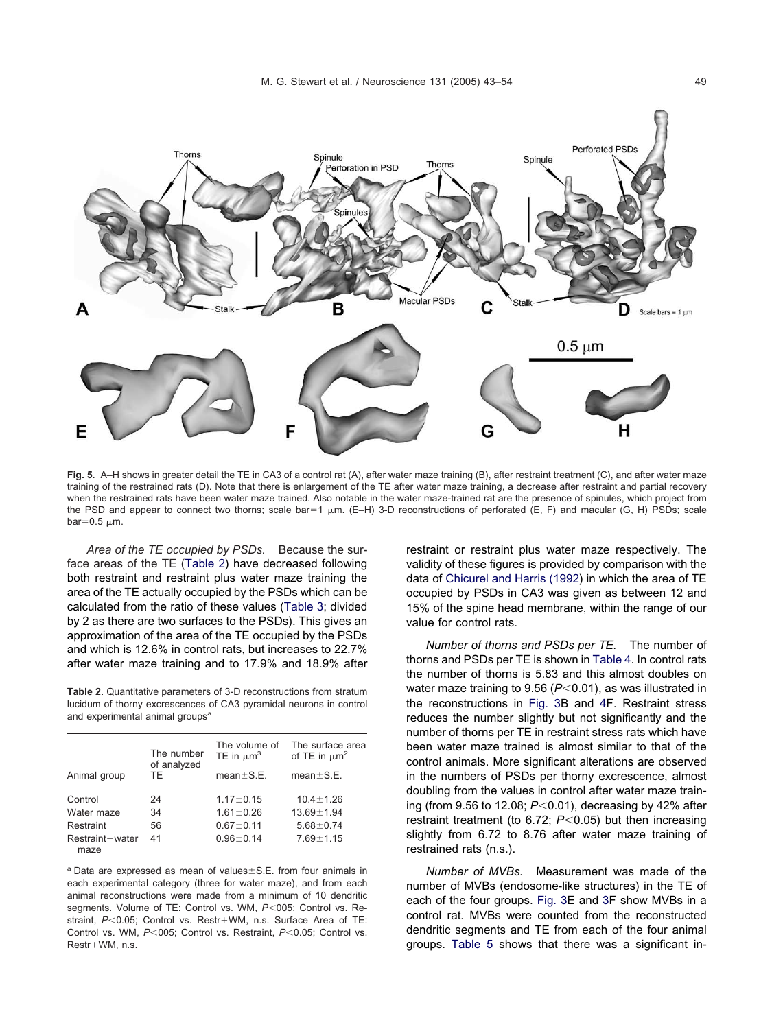<span id="page-6-0"></span>

Fig. 5. A–H shows in greater detail the TE in CA3 of a control rat (A), after water maze training (B), after restraint treatment (C), and after water maze training of the restrained rats (D). Note that there is enlargement of the TE after water maze training, a decrease after restraint and partial recovery when the restrained rats have been water maze trained. Also notable in the water maze-trained rat are the presence of spinules, which project from the PSD and appear to connect two thorns; scale bar=1  $\mu$ m. (E–H) 3-D reconstructions of perforated (E, F) and macular (G, H) PSDs; scale  $bar=0.5 \mu m$ .

*Area of the TE occupied by PSDs.* Because the surface areas of the TE (Table 2) have decreased following both restraint and restraint plus water maze training the area of the TE actually occupied by the PSDs which can be calculated from the ratio of these values [\(Table 3;](#page-7-0) divided by 2 as there are two surfaces to the PSDs). This gives an approximation of the area of the TE occupied by the PSDs and which is 12.6% in control rats, but increases to 22.7% after water maze training and to 17.9% and 18.9% after

**Table 2.** Quantitative parameters of 3-D reconstructions from stratum lucidum of thorny excrescences of CA3 pyramidal neurons in control and experimental animal groups<sup>a</sup>

|                         | The number<br>of analyzed | The volume of<br>TE in $\mu$ m <sup>3</sup> | The surface area<br>of TE in $\mu$ m <sup>2</sup> |
|-------------------------|---------------------------|---------------------------------------------|---------------------------------------------------|
| Animal group            | TE                        | $mean \pm S.E.$                             | $mean \pm S.E.$                                   |
| Control                 | 24                        | $1.17 \pm 0.15$                             | $104 + 126$                                       |
| Water maze              | 34                        | $1.61 \pm 0.26$                             | $13.69 \pm 1.94$                                  |
| Restraint               | 56                        | $0.67 \pm 0.11$                             | $5.68 \pm 0.74$                                   |
| Restraint+water<br>maze | 41                        | $0.96 \pm 0.14$                             | $7.69 \pm 1.15$                                   |

<sup>a</sup> Data are expressed as mean of values h S.E. from four animals in each experimental category (three for water maze), and from each animal reconstructions were made from a minimum of 10 dendritic segments. Volume of TE: Control vs. WM,  $P<$ 005; Control vs. Restraint, P<0.05; Control vs. Restr+WM, n.s. Surface Area of TE: Control vs. WM,  $P<$ 005; Control vs. Restraint,  $P<$ 0.05; Control vs.  $Restr+WM$ , n.s.

restraint or restraint plus water maze respectively. The validity of these figures is provided by comparison with the data of [Chicurel and Harris \(1992\)](#page-9-0) in which the area of TE occupied by PSDs in CA3 was given as between 12 and 15% of the spine head membrane, within the range of our value for control rats.

*Number of thorns and PSDs per TE.* The number of thorns and PSDs per TE is shown in [Table 4.](#page-7-0) In control rats the number of thorns is 5.83 and this almost doubles on water maze training to  $9.56$  ( $P<0.01$ ), as was illustrated in the reconstructions in [Fig. 3B](#page-4-0) and [4F](#page-5-0). Restraint stress reduces the number slightly but not significantly and the number of thorns per TE in restraint stress rats which have been water maze trained is almost similar to that of the control animals. More significant alterations are observed in the numbers of PSDs per thorny excrescence, almost doubling from the values in control after water maze training (from 9.56 to 12.08;  $P<0.01$ ), decreasing by 42% after restraint treatment (to 6.72;  $P<0.05$ ) but then increasing slightly from 6.72 to 8.76 after water maze training of restrained rats (n.s.).

*Number of MVBs.* Measurement was made of the number of MVBs (endosome-like structures) in the TE of each of the four groups. [Fig. 3E](#page-4-0) and [3F](#page-4-0) show MVBs in a control rat. MVBs were counted from the reconstructed dendritic segments and TE from each of the four animal groups. [Table 5](#page-7-0) shows that there was a significant in-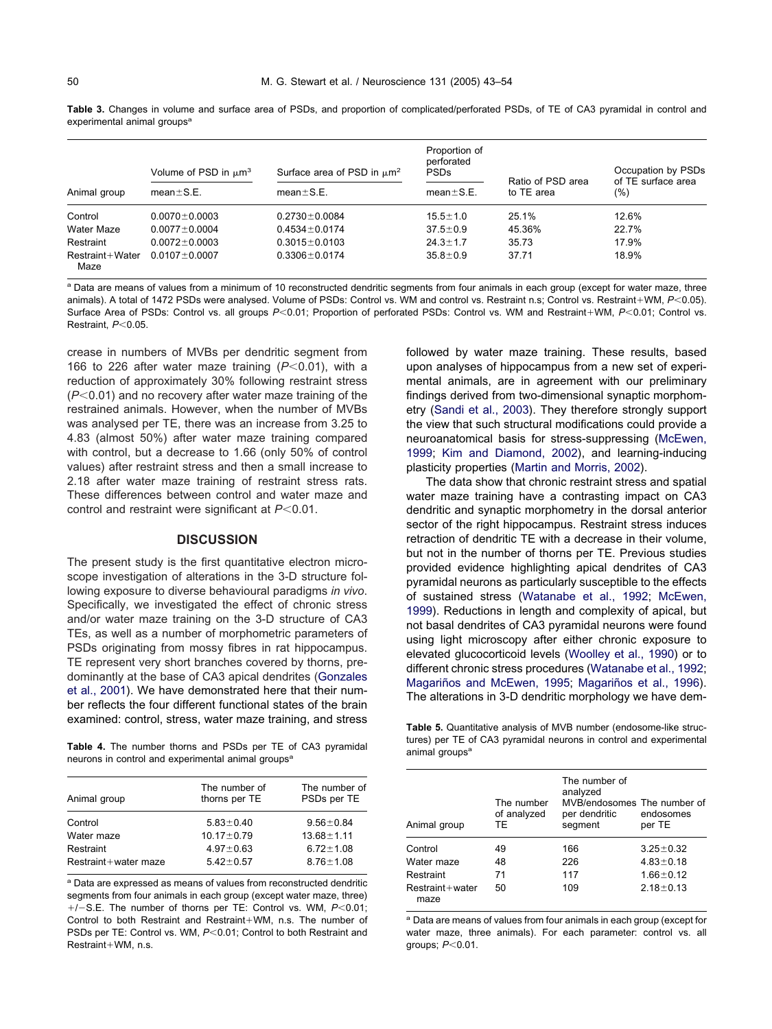|                         | Volume of PSD in $\mu$ m <sup>3</sup> | Surface area of PSD in $\mu$ m <sup>2</sup> | Proportion of<br>perforated<br><b>PSDs</b> | Ratio of PSD area | Occupation by PSDs<br>of TE surface area |
|-------------------------|---------------------------------------|---------------------------------------------|--------------------------------------------|-------------------|------------------------------------------|
| Animal group            | $mean ±$ S.E.                         | $mean \pm S.E.$                             | $mean ±$ S.E.                              | to TE area        | (%)                                      |
| Control                 | $0.0070 \pm 0.0003$                   | $0.2730 \pm 0.0084$                         | $15.5 \pm 1.0$                             | 25.1%             | 12.6%                                    |
| Water Maze              | $0.0077 \pm 0.0004$                   | $0.4534 \pm 0.0174$                         | $37.5 \pm 0.9$                             | 45.36%            | 22.7%                                    |
| Restraint               | $0.0072 \pm 0.0003$                   | $0.3015 \pm 0.0103$                         | $24.3 \pm 1.7$                             | 35.73             | 17.9%                                    |
| Restraint+Water<br>Maze | $0.0107 \pm 0.0007$                   | $0.3306 \pm 0.0174$                         | $35.8 \pm 0.9$                             | 37.71             | 18.9%                                    |

<span id="page-7-0"></span>**Table 3.** Changes in volume and surface area of PSDs, and proportion of complicated/perforated PSDs, of TE of CA3 pyramidal in control and experimental animal groups<sup>a</sup>

<sup>a</sup> Data are means of values from a minimum of 10 reconstructed dendritic segments from four animals in each group (except for water maze, three animals). A total of 1472 PSDs were analysed. Volume of PSDs: Control vs. WM and control vs. Restraint n.s; Control vs. Restraint+WM, P<0.05). Surface Area of PSDs: Control vs. all groups *P<*0.01; Proportion of perforated PSDs: Control vs. WM and Restraint+WM, *P<*0.01; Control vs. Restraint,  $P<0.05$ .

crease in numbers of MVBs per dendritic segment from 166 to 226 after water maze training  $(P< 0.01)$ , with a reduction of approximately 30% following restraint stress  $(P<0.01)$  and no recovery after water maze training of the restrained animals. However, when the number of MVBs was analysed per TE, there was an increase from 3.25 to 4.83 (almost 50%) after water maze training compared with control, but a decrease to 1.66 (only 50% of control values) after restraint stress and then a small increase to 2.18 after water maze training of restraint stress rats. These differences between control and water maze and control and restraint were significant at  $P<0.01$ .

# **DISCUSSION**

The present study is the first quantitative electron microscope investigation of alterations in the 3-D structure following exposure to diverse behavioural paradigms *in vivo*. Specifically, we investigated the effect of chronic stress and/or water maze training on the 3-D structure of CA3 TEs, as well as a number of morphometric parameters of PSDs originating from mossy fibres in rat hippocampus. TE represent very short branches covered by thorns, predominantly at the base of CA3 apical dendrites [\(Gonzales](#page-9-0) [et al., 2001\)](#page-9-0). We have demonstrated here that their number reflects the four different functional states of the brain examined: control, stress, water maze training, and stress

**Table 4.** The number thorns and PSDs per TE of CA3 pyramidal neurons in control and experimental animal groups<sup>a</sup>

| The number of<br>thorns per TE | The number of<br>PSDs per TE |
|--------------------------------|------------------------------|
| $5.83 \pm 0.40$                | $9.56 \pm 0.84$              |
| $10.17 \pm 0.79$               | $13.68 \pm 1.11$             |
| $4.97 \pm 0.63$                | $6.72 \pm 1.08$              |
| $5.42 \pm 0.57$                | $8.76 \pm 1.08$              |
|                                |                              |

<sup>a</sup> Data are expressed as means of values from reconstructed dendritic segments from four animals in each group (except water maze, three) +/-S.E. The number of thorns per TE: Control vs. WM,  $P<0.01$ ; Control to both Restraint and Restraint+WM, n.s. The number of PSDs per TE: Control vs. WM,  $P<0.01$ ; Control to both Restraint and  $Restraint+WM$ , n.s.

followed by water maze training. These results, based upon analyses of hippocampus from a new set of experimental animals, are in agreement with our preliminary findings derived from two-dimensional synaptic morphometry [\(Sandi et al., 2003\)](#page-11-0). They therefore strongly support the view that such structural modifications could provide a neuroanatomical basis for stress-suppressing [\(McEwen,](#page-10-0) [1999;](#page-10-0) [Kim and Diamond, 2002\)](#page-10-0), and learning-inducing plasticity properties [\(Martin and Morris, 2002\)](#page-10-0).

The data show that chronic restraint stress and spatial water maze training have a contrasting impact on CA3 dendritic and synaptic morphometry in the dorsal anterior sector of the right hippocampus. Restraint stress induces retraction of dendritic TE with a decrease in their volume, but not in the number of thorns per TE. Previous studies provided evidence highlighting apical dendrites of CA3 pyramidal neurons as particularly susceptible to the effects of sustained stress [\(Watanabe et al., 1992;](#page-11-0) [McEwen,](#page-10-0) [1999\)](#page-10-0). Reductions in length and complexity of apical, but not basal dendrites of CA3 pyramidal neurons were found using light microscopy after either chronic exposure to elevated glucocorticoid levels [\(Woolley et al., 1990\)](#page-11-0) or to different chronic stress procedures [\(Watanabe et al., 1992;](#page-11-0) [Magariños and McEwen, 1995;](#page-10-0) [Magariños et al., 1996\)](#page-10-0). The alterations in 3-D dendritic morphology we have dem-

**Table 5.** Quantitative analysis of MVB number (endosome-like structures) per TE of CA3 pyramidal neurons in control and experimental animal groups<sup>a</sup>

| Animal group            | The number<br>of analyzed<br>TE | The number of<br>analyzed<br>MVB/endosomes The number of<br>per dendritic<br>segment | endosomes<br>per TE |
|-------------------------|---------------------------------|--------------------------------------------------------------------------------------|---------------------|
| Control                 | 49                              | 166                                                                                  | $3.25 \pm 0.32$     |
| Water maze              | 48                              | 226                                                                                  | $4.83 \pm 0.18$     |
| Restraint               | 71                              | 117                                                                                  | $1.66 \pm 0.12$     |
| Restraint+water<br>maze | 50                              | 109                                                                                  | $2.18 \pm 0.13$     |

<sup>a</sup> Data are means of values from four animals in each group (except for water maze, three animals). For each parameter: control vs. all groups;  $P<0.01$ .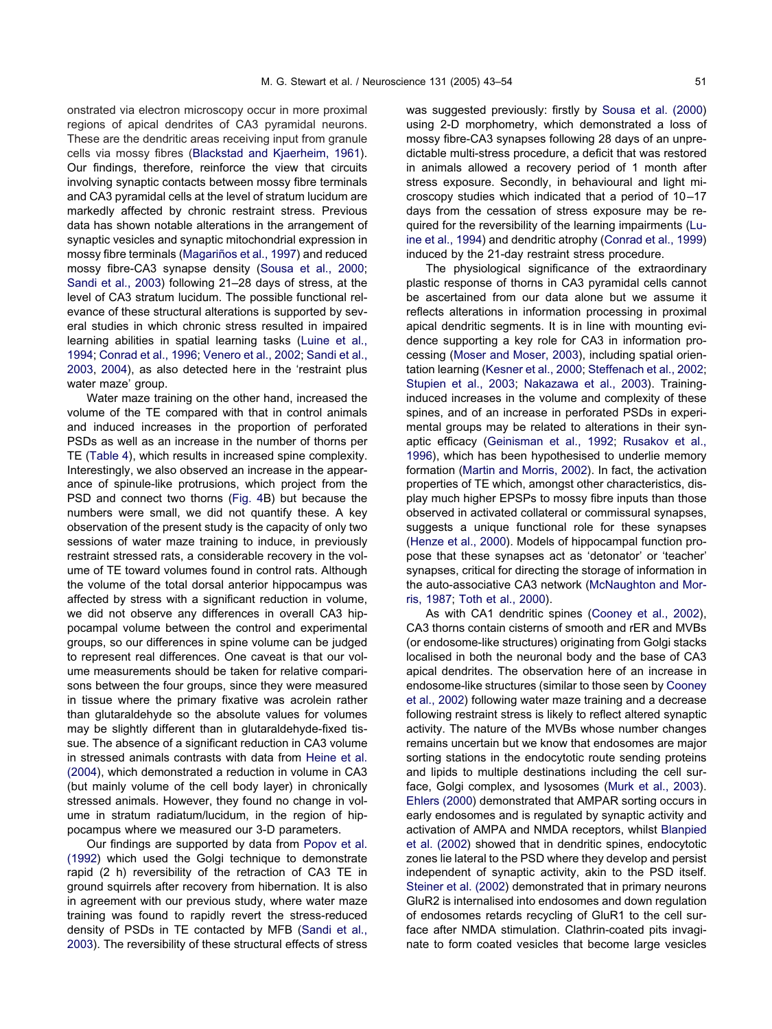onstrated via electron microscopy occur in more proximal regions of apical dendrites of CA3 pyramidal neurons. These are the dendritic areas receiving input from granule cells via mossy fibres [\(Blackstad and Kjaerheim, 1961\)](#page-9-0). Our findings, therefore, reinforce the view that circuits involving synaptic contacts between mossy fibre terminals and CA3 pyramidal cells at the level of stratum lucidum are markedly affected by chronic restraint stress. Previous data has shown notable alterations in the arrangement of synaptic vesicles and synaptic mitochondrial expression in mossy fibre terminals [\(Magariños et al., 1997\)](#page-10-0) and reduced mossy fibre-CA3 synapse density [\(Sousa et al., 2000;](#page-11-0) [Sandi et al., 2003\)](#page-11-0) following 21–28 days of stress, at the level of CA3 stratum lucidum. The possible functional relevance of these structural alterations is supported by several studies in which chronic stress resulted in impaired learning abilities in spatial learning tasks [\(Luine et al.,](#page-10-0) [1994;](#page-10-0) [Conrad et al., 1996;](#page-9-0) [Venero et al., 2002;](#page-11-0) [Sandi et al.,](#page-11-0) [2003,](#page-11-0) [2004\)](#page-10-0), as also detected here in the 'restraint plus water maze' group.

Water maze training on the other hand, increased the volume of the TE compared with that in control animals and induced increases in the proportion of perforated PSDs as well as an increase in the number of thorns per TE [\(Table 4\)](#page-7-0), which results in increased spine complexity. Interestingly, we also observed an increase in the appearance of spinule-like protrusions, which project from the PSD and connect two thorns [\(Fig. 4B](#page-5-0)) but because the numbers were small, we did not quantify these. A key observation of the present study is the capacity of only two sessions of water maze training to induce, in previously restraint stressed rats, a considerable recovery in the volume of TE toward volumes found in control rats. Although the volume of the total dorsal anterior hippocampus was affected by stress with a significant reduction in volume, we did not observe any differences in overall CA3 hippocampal volume between the control and experimental groups, so our differences in spine volume can be judged to represent real differences. One caveat is that our volume measurements should be taken for relative comparisons between the four groups, since they were measured in tissue where the primary fixative was acrolein rather than glutaraldehyde so the absolute values for volumes may be slightly different than in glutaraldehyde-fixed tissue. The absence of a significant reduction in CA3 volume in stressed animals contrasts with data from [Heine et al.](#page-10-0) [\(2004\)](#page-10-0), which demonstrated a reduction in volume in CA3 (but mainly volume of the cell body layer) in chronically stressed animals. However, they found no change in volume in stratum radiatum/lucidum, in the region of hippocampus where we measured our 3-D parameters.

Our findings are supported by data from [Popov et al.](#page-10-0) [\(1992\)](#page-10-0) which used the Golgi technique to demonstrate rapid (2 h) reversibility of the retraction of CA3 TE in ground squirrels after recovery from hibernation. It is also in agreement with our previous study, where water maze training was found to rapidly revert the stress-reduced density of PSDs in TE contacted by MFB [\(Sandi et al.,](#page-11-0) [2003\)](#page-11-0). The reversibility of these structural effects of stress was suggested previously: firstly by [Sousa et al. \(2000\)](#page-11-0) using 2-D morphometry, which demonstrated a loss of mossy fibre-CA3 synapses following 28 days of an unpredictable multi-stress procedure, a deficit that was restored in animals allowed a recovery period of 1 month after stress exposure. Secondly, in behavioural and light microscopy studies which indicated that a period of 10 –17 days from the cessation of stress exposure may be required for the reversibility of the learning impairments [\(Lu](#page-10-0)[ine et al., 1994\)](#page-10-0) and dendritic atrophy [\(Conrad et al., 1999\)](#page-9-0) induced by the 21-day restraint stress procedure.

The physiological significance of the extraordinary plastic response of thorns in CA3 pyramidal cells cannot be ascertained from our data alone but we assume it reflects alterations in information processing in proximal apical dendritic segments. It is in line with mounting evidence supporting a key role for CA3 in information processing [\(Moser and Moser, 2003\)](#page-10-0), including spatial orientation learning [\(Kesner et al., 2000;](#page-10-0) [Steffenach et al., 2002;](#page-11-0) [Stupien et al., 2003;](#page-11-0) [Nakazawa et al., 2003\)](#page-10-0). Traininginduced increases in the volume and complexity of these spines, and of an increase in perforated PSDs in experimental groups may be related to alterations in their synaptic efficacy [\(Geinisman et al., 1992;](#page-9-0) [Rusakov et al.,](#page-10-0) [1996\)](#page-10-0), which has been hypothesised to underlie memory formation [\(Martin and Morris, 2002\)](#page-10-0). In fact, the activation properties of TE which, amongst other characteristics, display much higher EPSPs to mossy fibre inputs than those observed in activated collateral or commissural synapses, suggests a unique functional role for these synapses [\(Henze et al., 2000\)](#page-10-0). Models of hippocampal function propose that these synapses act as 'detonator' or 'teacher' synapses, critical for directing the storage of information in the auto-associative CA3 network [\(McNaughton and Mor](#page-10-0)[ris, 1987;](#page-10-0) [Toth et al., 2000\)](#page-11-0).

As with CA1 dendritic spines [\(Cooney et al., 2002\)](#page-9-0), CA3 thorns contain cisterns of smooth and rER and MVBs (or endosome-like structures) originating from Golgi stacks localised in both the neuronal body and the base of CA3 apical dendrites. The observation here of an increase in endosome-like structures (similar to those seen by [Cooney](#page-9-0) [et al., 2002\)](#page-9-0) following water maze training and a decrease following restraint stress is likely to reflect altered synaptic activity. The nature of the MVBs whose number changes remains uncertain but we know that endosomes are major sorting stations in the endocytotic route sending proteins and lipids to multiple destinations including the cell surface, Golgi complex, and lysosomes [\(Murk et al., 2003\)](#page-10-0). [Ehlers \(2000\)](#page-9-0) demonstrated that AMPAR sorting occurs in early endosomes and is regulated by synaptic activity and activation of AMPA and NMDA receptors, whilst [Blanpied](#page-9-0) [et al. \(2002\)](#page-9-0) showed that in dendritic spines, endocytotic zones lie lateral to the PSD where they develop and persist independent of synaptic activity, akin to the PSD itself. [Steiner et al. \(2002\)](#page-11-0) demonstrated that in primary neurons GluR2 is internalised into endosomes and down regulation of endosomes retards recycling of GluR1 to the cell surface after NMDA stimulation. Clathrin-coated pits invaginate to form coated vesicles that become large vesicles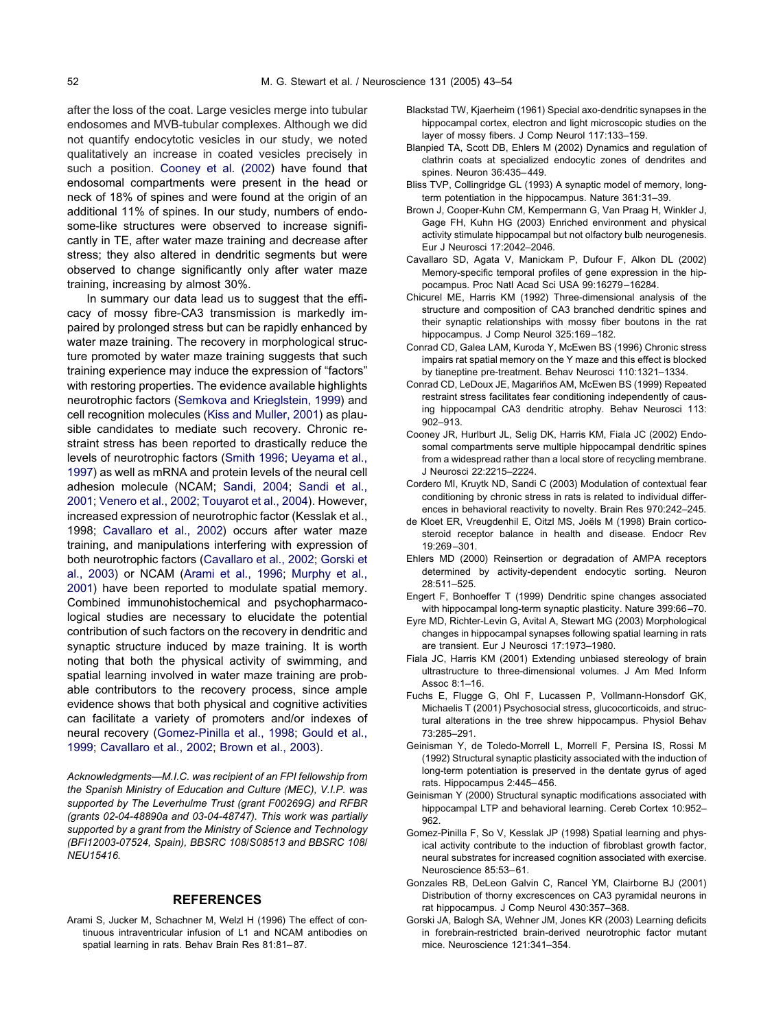<span id="page-9-0"></span>after the loss of the coat. Large vesicles merge into tubular endosomes and MVB-tubular complexes. Although we did not quantify endocytotic vesicles in our study, we noted qualitatively an increase in coated vesicles precisely in such a position. Cooney et al. (2002) have found that endosomal compartments were present in the head or neck of 18% of spines and were found at the origin of an additional 11% of spines. In our study, numbers of endosome-like structures were observed to increase significantly in TE, after water maze training and decrease after stress; they also altered in dendritic segments but were observed to change significantly only after water maze training, increasing by almost 30%.

In summary our data lead us to suggest that the efficacy of mossy fibre-CA3 transmission is markedly impaired by prolonged stress but can be rapidly enhanced by water maze training. The recovery in morphological structure promoted by water maze training suggests that such training experience may induce the expression of "factors" with restoring properties. The evidence available highlights neurotrophic factors [\(Semkova and Krieglstein, 1999\)](#page-11-0) and cell recognition molecules [\(Kiss and Muller, 2001\)](#page-10-0) as plausible candidates to mediate such recovery. Chronic restraint stress has been reported to drastically reduce the levels of neurotrophic factors [\(Smith 1996;](#page-11-0) [Ueyama et al.,](#page-11-0) [1997\)](#page-11-0) as well as mRNA and protein levels of the neural cell adhesion molecule (NCAM; [Sandi, 2004;](#page-10-0) [Sandi et al.,](#page-10-0) [2001;](#page-10-0) [Venero et al., 2002;](#page-11-0) [Touyarot et al., 2004\)](#page-11-0). However, increased expression of neurotrophic factor (Kesslak et al., 1998; Cavallaro et al., 2002) occurs after water maze training, and manipulations interfering with expression of both neurotrophic factors (Cavallaro et al., 2002; Gorski et al., 2003) or NCAM (Arami et al., 1996; [Murphy et al.,](#page-10-0) [2001\)](#page-10-0) have been reported to modulate spatial memory. Combined immunohistochemical and psychopharmacological studies are necessary to elucidate the potential contribution of such factors on the recovery in dendritic and synaptic structure induced by maze training. It is worth noting that both the physical activity of swimming, and spatial learning involved in water maze training are probable contributors to the recovery process, since ample evidence shows that both physical and cognitive activities can facilitate a variety of promoters and/or indexes of neural recovery (Gomez-Pinilla et al., 1998; [Gould et al.,](#page-10-0) [1999;](#page-10-0) Cavallaro et al., 2002; Brown et al., 2003).

*Acknowledgments—M.I.C. was recipient of an FPI fellowship from the Spanish Ministry of Education and Culture (MEC), V.I.P. was supported by The Leverhulme Trust (grant F00269G) and RFBR (grants 02-04-48890a and 03-04-48747). This work was partially supported by a grant from the Ministry of Science and Technology (BFI12003-07524, Spain), BBSRC 108/S08513 and BBSRC 108/ NEU15416.*

# **REFERENCES**

Arami S, Jucker M, Schachner M, Welzl H (1996) The effect of continuous intraventricular infusion of L1 and NCAM antibodies on spatial learning in rats. Behav Brain Res 81:81– 87.

- Blackstad TW, Kjaerheim (1961) Special axo-dendritic synapses in the hippocampal cortex, electron and light microscopic studies on the layer of mossy fibers. J Comp Neurol 117:133–159.
- Blanpied TA, Scott DB, Ehlers M (2002) Dynamics and regulation of clathrin coats at specialized endocytic zones of dendrites and spines. Neuron 36:435– 449.
- Bliss TVP, Collingridge GL (1993) A synaptic model of memory, longterm potentiation in the hippocampus. Nature 361:31–39.
- Brown J, Cooper-Kuhn CM, Kempermann G, Van Praag H, Winkler J, Gage FH, Kuhn HG (2003) Enriched environment and physical activity stimulate hippocampal but not olfactory bulb neurogenesis. Eur J Neurosci 17:2042–2046.
- Cavallaro SD, Agata V, Manickam P, Dufour F, Alkon DL (2002) Memory-specific temporal profiles of gene expression in the hippocampus. Proc Natl Acad Sci USA 99:16279 –16284.
- Chicurel ME, Harris KM (1992) Three-dimensional analysis of the structure and composition of CA3 branched dendritic spines and their synaptic relationships with mossy fiber boutons in the rat hippocampus. J Comp Neurol 325:169-182.
- Conrad CD, Galea LAM, Kuroda Y, McEwen BS (1996) Chronic stress impairs rat spatial memory on the Y maze and this effect is blocked by tianeptine pre-treatment. Behav Neurosci 110:1321–1334.
- Conrad CD, LeDoux JE, Magariños AM, McEwen BS (1999) Repeated restraint stress facilitates fear conditioning independently of causing hippocampal CA3 dendritic atrophy. Behav Neurosci 113: 902–913.
- Cooney JR, Hurlburt JL, Selig DK, Harris KM, Fiala JC (2002) Endosomal compartments serve multiple hippocampal dendritic spines from a widespread rather than a local store of recycling membrane. J Neurosci 22:2215–2224.
- Cordero MI, Kruytk ND, Sandi C (2003) Modulation of contextual fear conditioning by chronic stress in rats is related to individual differences in behavioral reactivity to novelty. Brain Res 970:242–245.
- de Kloet ER, Vreugdenhil E, Oitzl MS, Joëls M (1998) Brain corticosteroid receptor balance in health and disease. Endocr Rev 19:269 –301.
- Ehlers MD (2000) Reinsertion or degradation of AMPA receptors determined by activity-dependent endocytic sorting. Neuron 28:511–525.
- Engert F, Bonhoeffer T (1999) Dendritic spine changes associated with hippocampal long-term synaptic plasticity. Nature 399:66 –70.
- Eyre MD, Richter-Levin G, Avital A, Stewart MG (2003) Morphological changes in hippocampal synapses following spatial learning in rats are transient. Eur J Neurosci 17:1973–1980.
- Fiala JC, Harris KM (2001) Extending unbiased stereology of brain ultrastructure to three-dimensional volumes. J Am Med Inform Assoc 8:1–16.
- Fuchs E, Flugge G, Ohl F, Lucassen P, Vollmann-Honsdorf GK, Michaelis T (2001) Psychosocial stress, glucocorticoids, and structural alterations in the tree shrew hippocampus. Physiol Behav 73:285–291.
- Geinisman Y, de Toledo-Morrell L, Morrell F, Persina IS, Rossi M (1992) Structural synaptic plasticity associated with the induction of long-term potentiation is preserved in the dentate gyrus of aged rats. Hippocampus 2:445– 456.
- Geinisman Y (2000) Structural synaptic modifications associated with hippocampal LTP and behavioral learning. Cereb Cortex 10:952– 962.
- Gomez-Pinilla F, So V, Kesslak JP (1998) Spatial learning and physical activity contribute to the induction of fibroblast growth factor, neural substrates for increased cognition associated with exercise. Neuroscience 85:53– 61.
- Gonzales RB, DeLeon Galvin C, Rancel YM, Clairborne BJ (2001) Distribution of thorny excrescences on CA3 pyramidal neurons in rat hippocampus. J Comp Neurol 430:357–368.
- Gorski JA, Balogh SA, Wehner JM, Jones KR (2003) Learning deficits in forebrain-restricted brain-derived neurotrophic factor mutant mice. Neuroscience 121:341–354.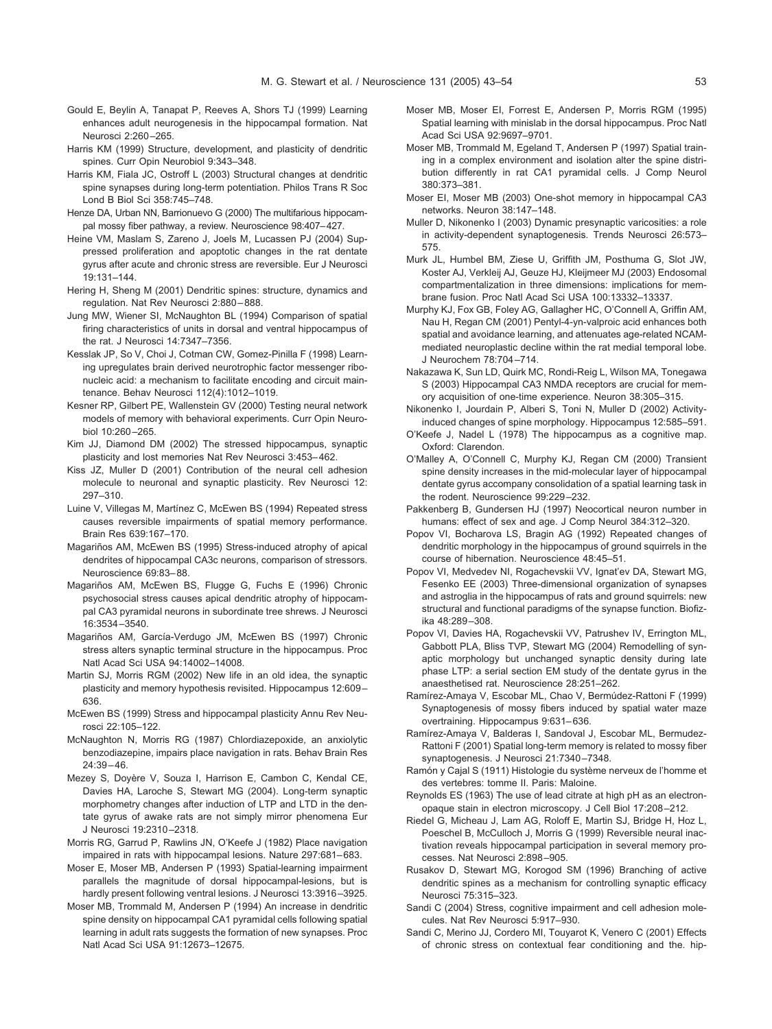- <span id="page-10-0"></span>Gould E, Beylin A, Tanapat P, Reeves A, Shors TJ (1999) Learning enhances adult neurogenesis in the hippocampal formation. Nat Neurosci 2:260 –265.
- Harris KM (1999) Structure, development, and plasticity of dendritic spines. Curr Opin Neurobiol 9:343–348.
- Harris KM, Fiala JC, Ostroff L (2003) Structural changes at dendritic spine synapses during long-term potentiation. Philos Trans R Soc Lond B Biol Sci 358:745–748.
- Henze DA, Urban NN, Barrionuevo G (2000) The multifarious hippocampal mossy fiber pathway, a review. Neuroscience 98:407–427.
- Heine VM, Maslam S, Zareno J, Joels M, Lucassen PJ (2004) Suppressed proliferation and apoptotic changes in the rat dentate gyrus after acute and chronic stress are reversible. Eur J Neurosci 19:131–144.
- Hering H, Sheng M (2001) Dendritic spines: structure, dynamics and regulation. Nat Rev Neurosci 2:880 – 888.
- Jung MW, Wiener SI, McNaughton BL (1994) Comparison of spatial firing characteristics of units in dorsal and ventral hippocampus of the rat. J Neurosci 14:7347–7356.
- Kesslak JP, So V, Choi J, Cotman CW, Gomez-Pinilla F (1998) Learning upregulates brain derived neurotrophic factor messenger ribonucleic acid: a mechanism to facilitate encoding and circuit maintenance. Behav Neurosci 112(4):1012–1019.
- Kesner RP, Gilbert PE, Wallenstein GV (2000) Testing neural network models of memory with behavioral experiments. Curr Opin Neurobiol 10:260 –265.
- Kim JJ, Diamond DM (2002) The stressed hippocampus, synaptic plasticity and lost memories Nat Rev Neurosci 3:453– 462.
- Kiss JZ, Muller D (2001) Contribution of the neural cell adhesion molecule to neuronal and synaptic plasticity. Rev Neurosci 12: 297–310.
- Luine V, Villegas M, Martínez C, McEwen BS (1994) Repeated stress causes reversible impairments of spatial memory performance. Brain Res 639:167–170.
- Magariños AM, McEwen BS (1995) Stress-induced atrophy of apical dendrites of hippocampal CA3c neurons, comparison of stressors. Neuroscience 69:83– 88.
- Magariños AM, McEwen BS, Flugge G, Fuchs E (1996) Chronic psychosocial stress causes apical dendritic atrophy of hippocampal CA3 pyramidal neurons in subordinate tree shrews. J Neurosci 16:3534 –3540.
- Magariños AM, García-Verdugo JM, McEwen BS (1997) Chronic stress alters synaptic terminal structure in the hippocampus. Proc Natl Acad Sci USA 94:14002–14008.
- Martin SJ, Morris RGM (2002) New life in an old idea, the synaptic plasticity and memory hypothesis revisited. Hippocampus 12:609 – 636.
- McEwen BS (1999) Stress and hippocampal plasticity Annu Rev Neurosci 22:105–122.
- McNaughton N, Morris RG (1987) Chlordiazepoxide, an anxiolytic benzodiazepine, impairs place navigation in rats. Behav Brain Res  $24:39 - 46$
- Mezey S, Doyère V, Souza I, Harrison E, Cambon C, Kendal CE, Davies HA, Laroche S, Stewart MG (2004). Long-term synaptic morphometry changes after induction of LTP and LTD in the dentate gyrus of awake rats are not simply mirror phenomena Eur J Neurosci 19:2310 –2318.
- Morris RG, Garrud P, Rawlins JN, O'Keefe J (1982) Place navigation impaired in rats with hippocampal lesions. Nature 297:681– 683.
- Moser E, Moser MB, Andersen P (1993) Spatial-learning impairment parallels the magnitude of dorsal hippocampal-lesions, but is hardly present following ventral lesions. J Neurosci 13:3916 –3925.
- Moser MB, Trommald M, Andersen P (1994) An increase in dendritic spine density on hippocampal CA1 pyramidal cells following spatial learning in adult rats suggests the formation of new synapses. Proc Natl Acad Sci USA 91:12673–12675.
- Moser MB, Moser EI, Forrest E, Andersen P, Morris RGM (1995) Spatial learning with minislab in the dorsal hippocampus. Proc Natl Acad Sci USA 92:9697–9701.
- Moser MB, Trommald M, Egeland T, Andersen P (1997) Spatial training in a complex environment and isolation alter the spine distribution differently in rat CA1 pyramidal cells. J Comp Neurol 380:373–381.
- Moser EI, Moser MB (2003) One-shot memory in hippocampal CA3 networks. Neuron 38:147–148.
- Muller D, Nikonenko I (2003) Dynamic presynaptic varicosities: a role in activity-dependent synaptogenesis. Trends Neurosci 26:573– 575.
- Murk JL, Humbel BM, Ziese U, Griffith JM, Posthuma G, Slot JW, Koster AJ, Verkleij AJ, Geuze HJ, Kleijmeer MJ (2003) Endosomal compartmentalization in three dimensions: implications for membrane fusion. Proc Natl Acad Sci USA 100:13332–13337.
- Murphy KJ, Fox GB, Foley AG, Gallagher HC, O'Connell A, Griffin AM, Nau H, Regan CM (2001) Pentyl-4-yn-valproic acid enhances both spatial and avoidance learning, and attenuates age-related NCAMmediated neuroplastic decline within the rat medial temporal lobe. J Neurochem 78:704 –714.
- Nakazawa K, Sun LD, Quirk MC, Rondi-Reig L, Wilson MA, Tonegawa S (2003) Hippocampal CA3 NMDA receptors are crucial for memory acquisition of one-time experience. Neuron 38:305–315.
- Nikonenko I, Jourdain P, Alberi S, Toni N, Muller D (2002) Activityinduced changes of spine morphology. Hippocampus 12:585–591.
- O'Keefe J, Nadel L (1978) The hippocampus as a cognitive map. Oxford: Clarendon.
- O'Malley A, O'Connell C, Murphy KJ, Regan CM (2000) Transient spine density increases in the mid-molecular layer of hippocampal dentate gyrus accompany consolidation of a spatial learning task in the rodent. Neuroscience 99:229 –232.
- Pakkenberg B, Gundersen HJ (1997) Neocortical neuron number in humans: effect of sex and age. J Comp Neurol 384:312–320.
- Popov VI, Bocharova LS, Bragin AG (1992) Repeated changes of dendritic morphology in the hippocampus of ground squirrels in the course of hibernation. Neuroscience 48:45–51.
- Popov VI, Medvedev NI, Rogachevskii VV, Ignat'ev DA, Stewart MG, Fesenko EE (2003) Three-dimensional organization of synapses and astroglia in the hippocampus of rats and ground squirrels: new structural and functional paradigms of the synapse function. Biofizika 48:289 –308.
- Popov VI, Davies HA, Rogachevskii VV, Patrushev IV, Errington ML, Gabbott PLA, Bliss TVP, Stewart MG (2004) Remodelling of synaptic morphology but unchanged synaptic density during late phase LTP: a serial section EM study of the dentate gyrus in the anaesthetised rat. Neuroscience 28:251–262.
- Ramírez-Amaya V, Escobar ML, Chao V, Bermúdez-Rattoni F (1999) Synaptogenesis of mossy fibers induced by spatial water maze overtraining. Hippocampus 9:631– 636.
- Ramírez-Amaya V, Balderas I, Sandoval J, Escobar ML, Bermudez-Rattoni F (2001) Spatial long-term memory is related to mossy fiber synaptogenesis. J Neurosci 21:7340 –7348.
- Ramón y Cajal S (1911) Histologie du système nerveux de l'homme et des vertebres: tomme II. Paris: Maloine.
- Reynolds ES (1963) The use of lead citrate at high pH as an electronopaque stain in electron microscopy. J Cell Biol 17:208 –212.
- Riedel G, Micheau J, Lam AG, Roloff E, Martin SJ, Bridge H, Hoz L, Poeschel B, McCulloch J, Morris G (1999) Reversible neural inactivation reveals hippocampal participation in several memory processes. Nat Neurosci 2:898 –905.
- Rusakov D, Stewart MG, Korogod SM (1996) Branching of active dendritic spines as a mechanism for controlling synaptic efficacy Neurosci 75:315–323.
- Sandi C (2004) Stress, cognitive impairment and cell adhesion molecules. Nat Rev Neurosci 5:917–930.
- Sandi C, Merino JJ, Cordero MI, Touyarot K, Venero C (2001) Effects of chronic stress on contextual fear conditioning and the. hip-